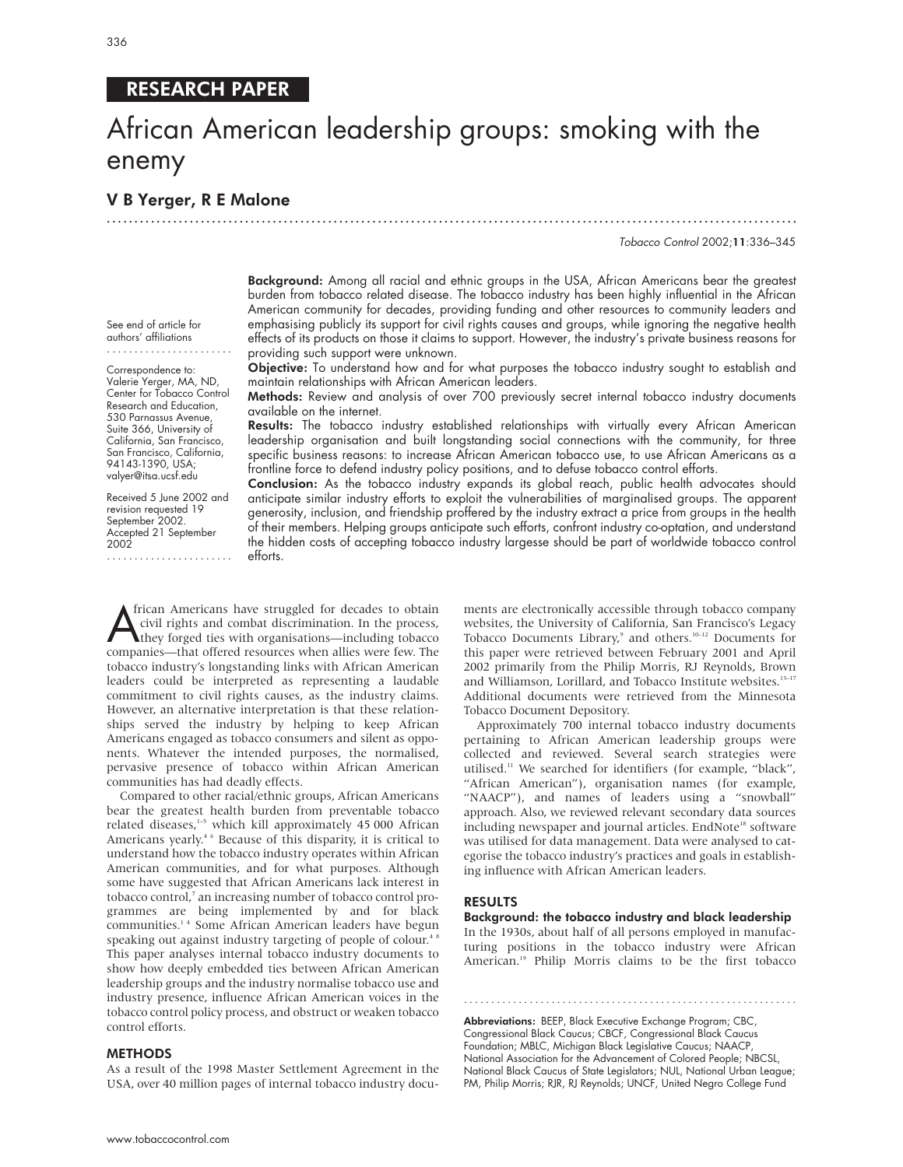# RESEARCH PAPER

# African American leadership groups: smoking with the enemy

.............................................................................................................................

## V B Yerger, R E Malone

Tobacco Control 2002;11:336–345

Background: Among all racial and ethnic groups in the USA, African Americans bear the greatest burden from tobacco related disease. The tobacco industry has been highly influential in the African American community for decades, providing funding and other resources to community leaders and emphasising publicly its support for civil rights causes and groups, while ignoring the negative health effects of its products on those it claims to support. However, the industry's private business reasons for providing such support were unknown.

**Objective:** To understand how and for what purposes the tobacco industry sought to establish and maintain relationships with African American leaders.

Methods: Review and analysis of over 700 previously secret internal tobacco industry documents available on the internet.

Results: The tobacco industry established relationships with virtually every African American leadership organisation and built longstanding social connections with the community, for three specific business reasons: to increase African American tobacco use, to use African Americans as a frontline force to defend industry policy positions, and to defuse tobacco control efforts.

Conclusion: As the tobacco industry expands its global reach, public health advocates should anticipate similar industry efforts to exploit the vulnerabilities of marginalised groups. The apparent generosity, inclusion, and friendship proffered by the industry extract a price from groups in the health of their members. Helping groups anticipate such efforts, confront industry co-optation, and understand the hidden costs of accepting tobacco industry largesse should be part of worldwide tobacco control efforts.

Trican Americans have struggled for decades to obtain<br>civil rights and combat discrimination. In the process,<br>they forged ties with organisations—including tobacco<br>companies—that offered resources when allies were few. The frican Americans have struggled for decades to obtain civil rights and combat discrimination. In the process, they forged ties with organisations—including tobacco tobacco industry's longstanding links with African American leaders could be interpreted as representing a laudable commitment to civil rights causes, as the industry claims. However, an alternative interpretation is that these relationships served the industry by helping to keep African Americans engaged as tobacco consumers and silent as opponents. Whatever the intended purposes, the normalised, pervasive presence of tobacco within African American communities has had deadly effects.

Compared to other racial/ethnic groups, African Americans bear the greatest health burden from preventable tobacco related diseases,<sup>1-5</sup> which kill approximately 45 000 African Americans yearly.<sup>46</sup> Because of this disparity, it is critical to understand how the tobacco industry operates within African American communities, and for what purposes. Although some have suggested that African Americans lack interest in tobacco control,<sup>7</sup> an increasing number of tobacco control programmes are being implemented by and for black communities.1 4 Some African American leaders have begun speaking out against industry targeting of people of colour.<sup>48</sup> This paper analyses internal tobacco industry documents to show how deeply embedded ties between African American leadership groups and the industry normalise tobacco use and industry presence, influence African American voices in the tobacco control policy process, and obstruct or weaken tobacco control efforts.

#### METHODS

As a result of the 1998 Master Settlement Agreement in the USA, over 40 million pages of internal tobacco industry documents are electronically accessible through tobacco company websites, the University of California, San Francisco's Legacy Tobacco Documents Library,<sup>9</sup> and others.<sup>10–12</sup> Documents for this paper were retrieved between February 2001 and April 2002 primarily from the Philip Morris, RJ Reynolds, Brown and Williamson, Lorillard, and Tobacco Institute websites.<sup>13-17</sup> Additional documents were retrieved from the Minnesota Tobacco Document Depository.

Approximately 700 internal tobacco industry documents pertaining to African American leadership groups were collected and reviewed. Several search strategies were utilised.11 We searched for identifiers (for example, "black", "African American"), organisation names (for example, "NAACP"), and names of leaders using a "snowball" approach. Also, we reviewed relevant secondary data sources including newspaper and journal articles. EndNote<sup>18</sup> software was utilised for data management. Data were analysed to categorise the tobacco industry's practices and goals in establishing influence with African American leaders.

#### RESULTS

Background: the tobacco industry and black leadership In the 1930s, about half of all persons employed in manufacturing positions in the tobacco industry were African American.<sup>19</sup> Philip Morris claims to be the first tobacco

.............................................................

Abbreviations: BEEP, Black Executive Exchange Program; CBC, Congressional Black Caucus; CBCF, Congressional Black Caucus Foundation; MBLC, Michigan Black Legislative Caucus; NAACP, National Association for the Advancement of Colored People; NBCSL, National Black Caucus of State Legislators; NUL, National Urban League; PM, Philip Morris; RJR, RJ Reynolds; UNCF, United Negro College Fund

See end of article for authors' affiliations .......................

Correspondence to: Valerie Yerger, MA, ND, Center for Tobacco Control Research and Education, 530 Parnassus Avenue, Suite 366, University of California, San Francisco, San Francisco, California, 94143-1390, USA; valyer@itsa.ucsf.edu

Received 5 June 2002 and revision requested 19 September 2002. Accepted 21 September 2002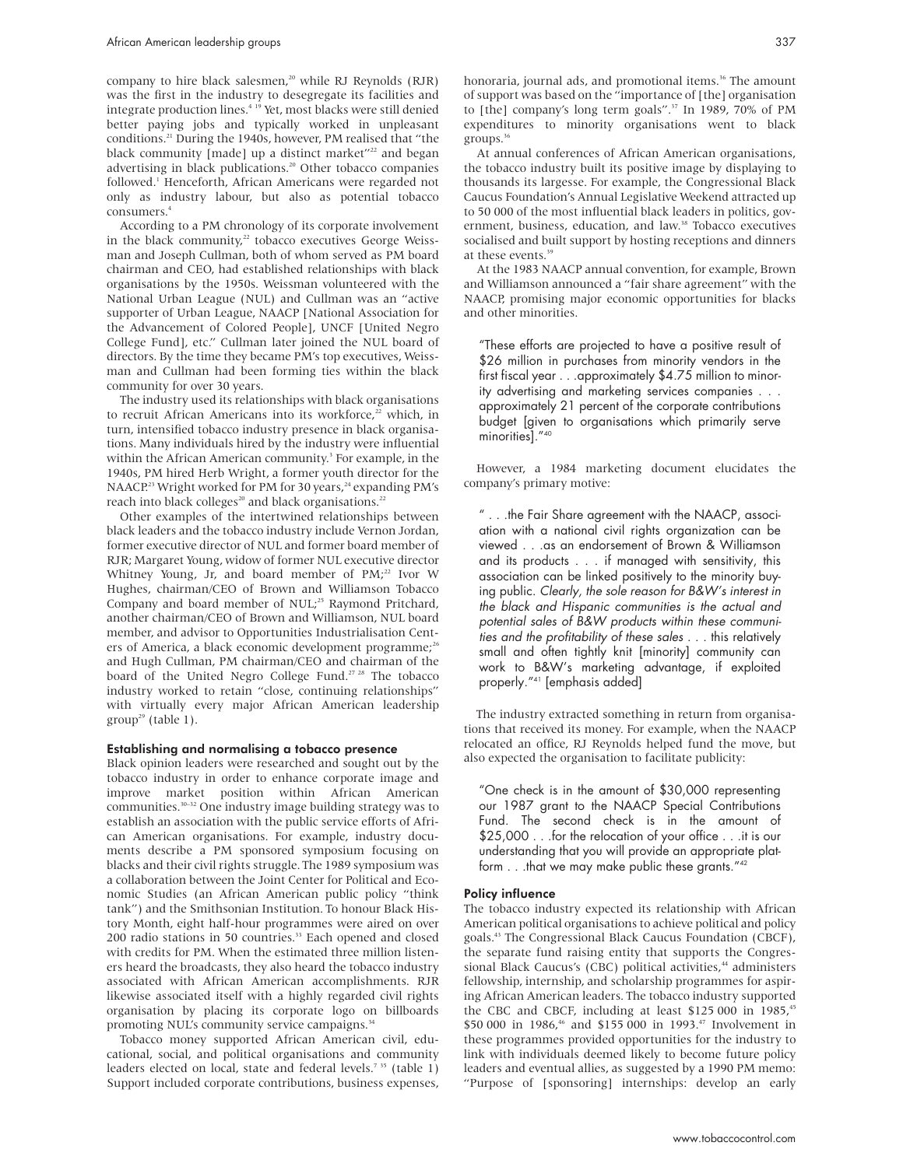company to hire black salesmen,<sup>20</sup> while RJ Reynolds (RJR) was the first in the industry to desegregate its facilities and integrate production lines.4 19 Yet, most blacks were still denied better paying jobs and typically worked in unpleasant conditions.21 During the 1940s, however, PM realised that "the black community [made] up a distinct market"<sup>22</sup> and began advertising in black publications.20 Other tobacco companies followed.<sup>1</sup> Henceforth, African Americans were regarded not only as industry labour, but also as potential tobacco consumers.4

According to a PM chronology of its corporate involvement in the black community, $22$  tobacco executives George Weissman and Joseph Cullman, both of whom served as PM board chairman and CEO, had established relationships with black organisations by the 1950s. Weissman volunteered with the National Urban League (NUL) and Cullman was an "active supporter of Urban League, NAACP [National Association for the Advancement of Colored People], UNCF [United Negro College Fund], etc." Cullman later joined the NUL board of directors. By the time they became PM's top executives, Weissman and Cullman had been forming ties within the black community for over 30 years.

The industry used its relationships with black organisations to recruit African Americans into its workforce,<sup>22</sup> which, in turn, intensified tobacco industry presence in black organisations. Many individuals hired by the industry were influential within the African American community.<sup>3</sup> For example, in the 1940s, PM hired Herb Wright, a former youth director for the NAACP.<sup>23</sup> Wright worked for PM for 30 years,<sup>24</sup> expanding PM's reach into black colleges<sup>20</sup> and black organisations.<sup>22</sup>

Other examples of the intertwined relationships between black leaders and the tobacco industry include Vernon Jordan, former executive director of NUL and former board member of RJR; Margaret Young, widow of former NUL executive director Whitney Young, Jr, and board member of PM;<sup>22</sup> Ivor W Hughes, chairman/CEO of Brown and Williamson Tobacco Company and board member of NUL;<sup>25</sup> Raymond Pritchard, another chairman/CEO of Brown and Williamson, NUL board member, and advisor to Opportunities Industrialisation Centers of America, a black economic development programme;<sup>26</sup> and Hugh Cullman, PM chairman/CEO and chairman of the board of the United Negro College Fund.<sup>27 28</sup> The tobacco industry worked to retain "close, continuing relationships" with virtually every major African American leadership  $group<sup>29</sup> (table 1).$ 

#### Establishing and normalising a tobacco presence

Black opinion leaders were researched and sought out by the tobacco industry in order to enhance corporate image and improve market position within African American communities.30–32 One industry image building strategy was to establish an association with the public service efforts of African American organisations. For example, industry documents describe a PM sponsored symposium focusing on blacks and their civil rights struggle. The 1989 symposium was a collaboration between the Joint Center for Political and Economic Studies (an African American public policy "think tank") and the Smithsonian Institution. To honour Black History Month, eight half-hour programmes were aired on over 200 radio stations in 50 countries.<sup>33</sup> Each opened and closed with credits for PM. When the estimated three million listeners heard the broadcasts, they also heard the tobacco industry associated with African American accomplishments. RJR likewise associated itself with a highly regarded civil rights organisation by placing its corporate logo on billboards promoting NUL's community service campaigns.<sup>34</sup>

Tobacco money supported African American civil, educational, social, and political organisations and community leaders elected on local, state and federal levels.<sup>735</sup> (table 1) Support included corporate contributions, business expenses,

honoraria, journal ads, and promotional items.<sup>36</sup> The amount of support was based on the "importance of [the] organisation to [the] company's long term goals".<sup>37</sup> In 1989, 70% of PM expenditures to minority organisations went to black groups.36

At annual conferences of African American organisations, the tobacco industry built its positive image by displaying to thousands its largesse. For example, the Congressional Black Caucus Foundation's Annual Legislative Weekend attracted up to 50 000 of the most influential black leaders in politics, government, business, education, and law.<sup>38</sup> Tobacco executives socialised and built support by hosting receptions and dinners at these events.<sup>39</sup>

At the 1983 NAACP annual convention, for example, Brown and Williamson announced a "fair share agreement" with the NAACP, promising major economic opportunities for blacks and other minorities.

"These efforts are projected to have a positive result of \$26 million in purchases from minority vendors in the first fiscal year . . .approximately \$4.75 million to minority advertising and marketing services companies... approximately 21 percent of the corporate contributions budget [given to organisations which primarily serve minorities]."40

However, a 1984 marketing document elucidates the company's primary motive:

" . . .the Fair Share agreement with the NAACP, association with a national civil rights organization can be viewed . . .as an endorsement of Brown & Williamson and its products . . . if managed with sensitivity, this association can be linked positively to the minority buying public. Clearly, the sole reason for B&W's interest in the black and Hispanic communities is the actual and potential sales of B&W products within these communities and the profitability of these sales . . . this relatively small and often tightly knit [minority] community can work to B&W's marketing advantage, if exploited properly."41 [emphasis added]

The industry extracted something in return from organisations that received its money. For example, when the NAACP relocated an office, RJ Reynolds helped fund the move, but also expected the organisation to facilitate publicity:

"One check is in the amount of \$30,000 representing our 1987 grant to the NAACP Special Contributions Fund. The second check is in the amount of \$25,000 . . .for the relocation of your office . . .it is our understanding that you will provide an appropriate platform . . .that we may make public these grants."<sup>42</sup>

#### Policy influence

The tobacco industry expected its relationship with African American political organisations to achieve political and policy goals.43 The Congressional Black Caucus Foundation (CBCF), the separate fund raising entity that supports the Congressional Black Caucus's (CBC) political activities,<sup>44</sup> administers fellowship, internship, and scholarship programmes for aspiring African American leaders. The tobacco industry supported the CBC and CBCF, including at least \$125 000 in 1985,<sup>45</sup> \$50 000 in 1986,<sup>46</sup> and \$155 000 in 1993.<sup>47</sup> Involvement in these programmes provided opportunities for the industry to link with individuals deemed likely to become future policy leaders and eventual allies, as suggested by a 1990 PM memo: "Purpose of [sponsoring] internships: develop an early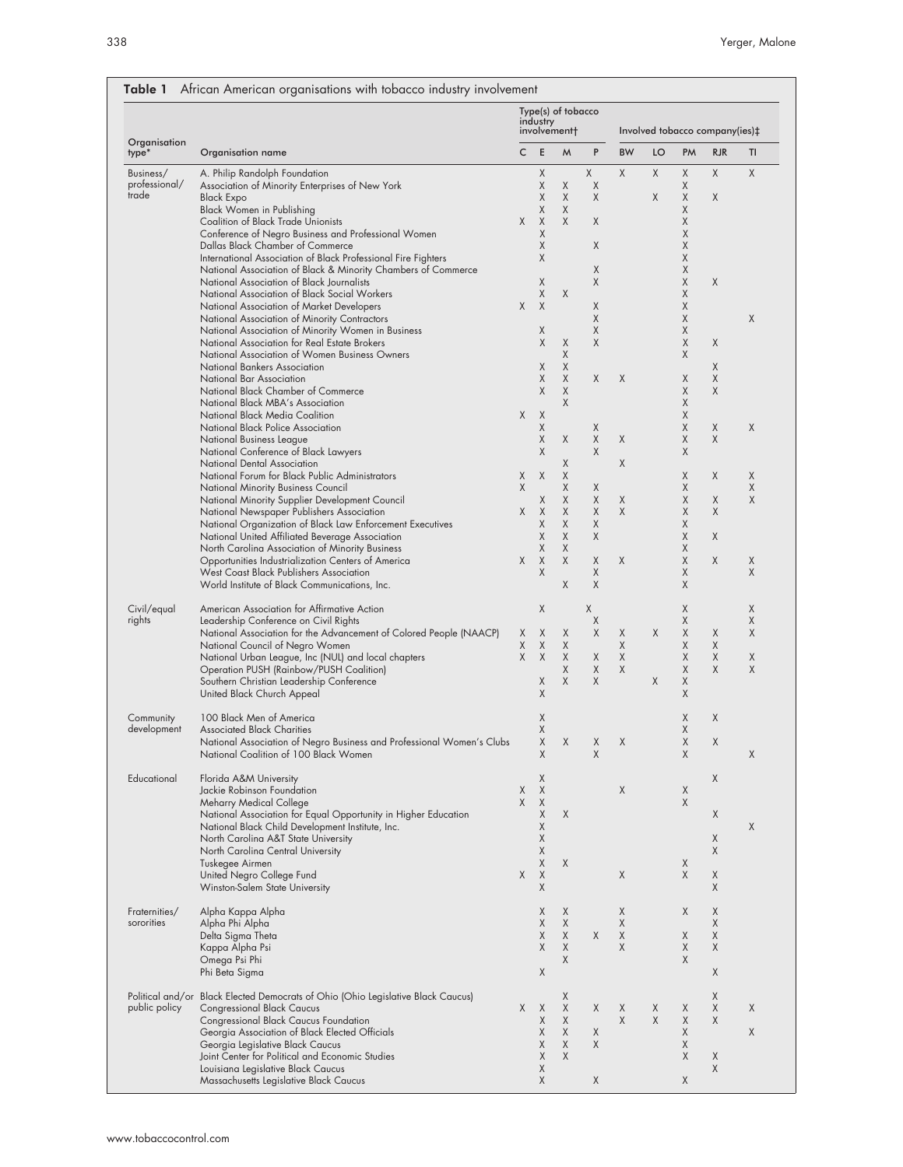| Organisation<br>type*                   | Organisation name<br>A. Philip Randolph Foundation                                                         | Type(s) of tobacco<br>industry<br>involvement+ |                  |        |        | Involved tobacco company(ies)‡ |    |        |            |        |
|-----------------------------------------|------------------------------------------------------------------------------------------------------------|------------------------------------------------|------------------|--------|--------|--------------------------------|----|--------|------------|--------|
|                                         |                                                                                                            | C                                              | Ε                | M      | P      | <b>BW</b>                      | LO | PM     | <b>RJR</b> | TI     |
| Business/                               |                                                                                                            |                                                | Χ                |        | χ      | X                              | X  | Χ      | X          | X      |
| professional/                           | Association of Minority Enterprises of New York                                                            |                                                | Χ                | X      | Χ      |                                |    | χ      |            |        |
| trade                                   | <b>Black Expo</b>                                                                                          |                                                | Χ                | X      | X      |                                | Χ  | χ      | Χ          |        |
|                                         | Black Women in Publishing                                                                                  |                                                | Χ                | X      |        |                                |    | Χ      |            |        |
|                                         | <b>Coalition of Black Trade Unionists</b>                                                                  | Χ                                              | X                | X      | Χ      |                                |    | Χ      |            |        |
|                                         | Conference of Negro Business and Professional Women                                                        |                                                | Χ<br>Χ           |        |        |                                |    | Χ      |            |        |
|                                         | Dallas Black Chamber of Commerce<br>International Association of Black Professional Fire Fighters          |                                                | Χ                |        | X      |                                |    | Χ<br>X |            |        |
|                                         | National Association of Black & Minority Chambers of Commerce                                              |                                                |                  |        | X      |                                |    | Χ      |            |        |
|                                         | National Association of Black Journalists                                                                  |                                                | Χ                |        | Χ      |                                |    | Χ      | X          |        |
|                                         | National Association of Black Social Workers                                                               |                                                | Χ                | X      |        |                                |    | X      |            |        |
|                                         | National Association of Market Developers                                                                  | X                                              | X                |        | Χ      |                                |    | Χ      |            |        |
|                                         | National Association of Minority Contractors                                                               |                                                |                  |        | X      |                                |    | X      |            | Χ      |
|                                         | National Association of Minority Women in Business                                                         |                                                | Χ                |        | Χ      |                                |    | Χ      |            |        |
|                                         | National Association for Real Estate Brokers                                                               |                                                | X                | X      | X      |                                |    | Χ      | X          |        |
|                                         | National Association of Women Business Owners                                                              |                                                |                  | Χ      |        |                                |    | Χ      |            |        |
|                                         | National Bankers Association<br>National Bar Association                                                   |                                                | Χ<br>Χ           | X<br>X | X      | X                              |    | Χ      | Χ<br>Χ     |        |
|                                         | National Black Chamber of Commerce                                                                         |                                                | Χ                | Χ      |        |                                |    | Χ      | Χ          |        |
|                                         | National Black MBA's Association                                                                           |                                                |                  | X      |        |                                |    | Χ      |            |        |
|                                         | National Black Media Coalition                                                                             | X                                              | X                |        |        |                                |    | Χ      |            |        |
|                                         | National Black Police Association                                                                          |                                                | Χ                |        | Χ      |                                |    | Χ      | X          | X      |
|                                         | National Business League                                                                                   |                                                | Χ                | X      | Χ      | X                              |    | Χ      | X          |        |
|                                         | National Conference of Black Lawyers                                                                       |                                                | Χ                |        | X      |                                |    | Χ      |            |        |
|                                         | National Dental Association                                                                                |                                                |                  | X      |        | X                              |    |        |            |        |
|                                         | National Forum for Black Public Administrators                                                             | Χ                                              | X                | X      |        |                                |    | Χ      | X          | X      |
|                                         | <b>National Minority Business Council</b>                                                                  | Χ                                              |                  | X      | X      |                                |    | Χ      |            | X      |
|                                         | National Minority Supplier Development Council<br>National Newspaper Publishers Association                | Χ                                              | Χ<br>$\mathsf X$ | X<br>X | X<br>Χ | Χ<br>X                         |    | Χ<br>Χ | Χ<br>Χ     | X      |
|                                         | National Organization of Black Law Enforcement Executives                                                  |                                                | Χ                | X      | X      |                                |    | X      |            |        |
|                                         | National United Affiliated Beverage Association                                                            |                                                | Χ                | X      | X      |                                |    | Χ      | X          |        |
|                                         | North Carolina Association of Minority Business                                                            |                                                | Χ                | X      |        |                                |    | Χ      |            |        |
|                                         | Opportunities Industrialization Centers of America                                                         | X                                              | $\mathsf X$      | X      | X      | X                              |    | Χ      | X          | Χ      |
|                                         | West Coast Black Publishers Association                                                                    |                                                | X                |        | Χ      |                                |    | Χ      |            | X      |
|                                         | World Institute of Black Communications, Inc.                                                              |                                                |                  | X      | Χ      |                                |    | Χ      |            |        |
| Civil/equal<br>rights                   | American Association for Affirmative Action                                                                |                                                | Χ                |        | X      |                                |    | Χ      |            | Χ      |
|                                         | Leadership Conference on Civil Rights                                                                      |                                                |                  |        | Χ      |                                |    | X      |            | Χ      |
|                                         | National Association for the Advancement of Colored People (NAACP)                                         | Χ                                              | Χ                | X      | Χ      | X                              | X  | Χ      | Χ          | X      |
|                                         | National Council of Negro Women                                                                            | Χ                                              | Χ                | X      |        | X                              |    | Χ      | Χ          |        |
|                                         | National Urban League, Inc (NUL) and local chapters                                                        | X                                              | Χ                | X<br>X | Χ<br>Χ | Χ<br>X                         |    | Χ<br>Χ | X<br>Χ     | Χ<br>X |
|                                         | Operation PUSH (Rainbow/PUSH Coalition)<br>Southern Christian Leadership Conference                        |                                                | Χ                | X      | X      |                                | Χ  | Χ      |            |        |
|                                         | United Black Church Appeal                                                                                 |                                                | Χ                |        |        |                                |    | Χ      |            |        |
|                                         |                                                                                                            |                                                |                  |        |        |                                |    |        |            |        |
| Community<br>development<br>Educational | 100 Black Men of America                                                                                   |                                                | Χ                |        |        |                                |    | Χ      | X          |        |
|                                         | <b>Associated Black Charities</b><br>National Association of Negro Business and Professional Women's Clubs |                                                | Χ<br>Χ           | X      | X      | Χ                              |    | Χ<br>X | X          |        |
|                                         | National Coalition of 100 Black Women                                                                      |                                                | X                |        | X      |                                |    | X      |            | X      |
|                                         |                                                                                                            |                                                |                  |        |        |                                |    |        |            |        |
|                                         | Florida A&M University                                                                                     |                                                | Χ                |        |        |                                |    |        | X          |        |
|                                         | Jackie Robinson Foundation                                                                                 | Χ                                              | X                |        |        | X                              |    | X      |            |        |
|                                         | Meharry Medical College                                                                                    | Χ                                              | X                |        |        |                                |    | X      |            |        |
|                                         | National Association for Equal Opportunity in Higher Education                                             |                                                | X                | X      |        |                                |    |        | X          |        |
|                                         | National Black Child Development Institute, Inc.                                                           |                                                | Χ                |        |        |                                |    |        |            | X      |
|                                         | North Carolina A&T State University                                                                        |                                                | Χ                |        |        |                                |    |        | X          |        |
|                                         | North Carolina Central University                                                                          |                                                | Χ                |        |        |                                |    |        | X          |        |
|                                         | Tuskegee Airmen<br>United Negro College Fund                                                               | X                                              | Χ<br>X           | X      |        | X                              |    | Χ<br>X | Χ          |        |
|                                         | Winston-Salem State University                                                                             |                                                | X                |        |        |                                |    |        | X          |        |
|                                         |                                                                                                            |                                                | Χ                |        |        |                                |    |        |            |        |
| Fraternities/<br>sororities             | Alpha Kappa Alpha<br>Alpha Phi Alpha                                                                       |                                                | Χ                | X<br>X |        | Χ<br>Χ                         |    | X      | Χ<br>X     |        |
|                                         | Delta Sigma Theta                                                                                          |                                                | Χ                | X      | X      | Χ                              |    | X      | Χ          |        |
|                                         | Kappa Alpha Psi                                                                                            |                                                | Χ                | X      |        | X                              |    | X      | X          |        |
|                                         | Omega Psi Phi                                                                                              |                                                |                  | X      |        |                                |    | Χ      |            |        |
|                                         | Phi Beta Sigma                                                                                             |                                                | Χ                |        |        |                                |    |        | Χ          |        |
|                                         | Political and/or Black Elected Democrats of Ohio (Ohio Legislative Black Caucus)                           |                                                |                  | X      |        |                                |    |        | X          |        |
| public policy                           | <b>Congressional Black Caucus</b>                                                                          | X                                              | Χ                | X      | X      | X                              | Χ  | Χ      | X          | X      |
|                                         | Congressional Black Caucus Foundation                                                                      |                                                | Χ                | X      |        | X                              | X  | X      | Χ          |        |
|                                         | Georgia Association of Black Elected Officials                                                             |                                                | Χ                | X      | Χ      |                                |    | Χ      |            | X      |
|                                         | Georgia Legislative Black Caucus                                                                           |                                                | Χ                | X      | X      |                                |    | X      |            |        |
|                                         | Joint Center for Political and Economic Studies                                                            |                                                | Χ                | X      |        |                                |    | X      | Χ          |        |
|                                         | Louisiana Legislative Black Caucus                                                                         |                                                | Χ                |        |        |                                |    |        | Χ          |        |
|                                         | Massachusetts Legislative Black Caucus                                                                     |                                                | X                |        | X      |                                |    | X      |            |        |

### Table 1 African American organisations with tobacco industry involvement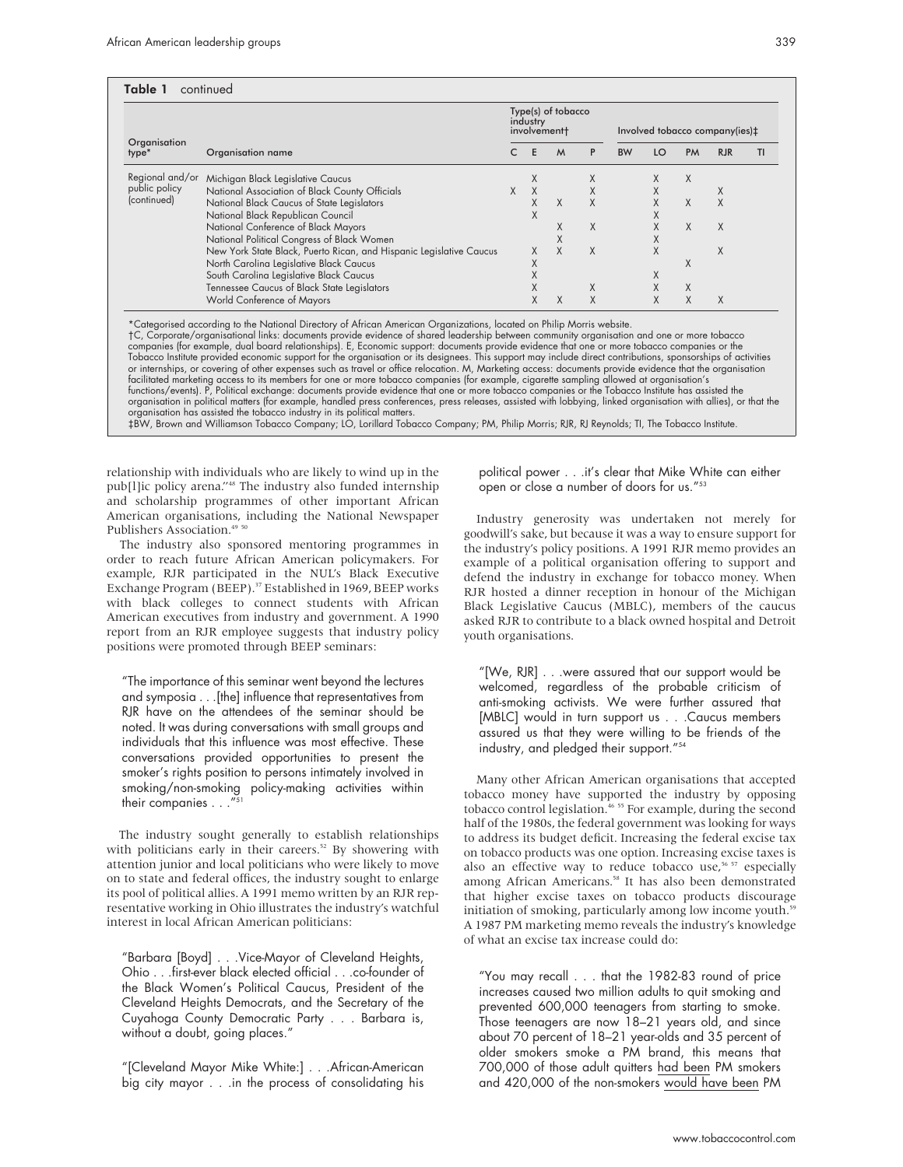| Organisation<br>type*                           | Organisation name                                                   | Type(s) of tobacco<br>industry<br>involvement+ |   |   |   | Involved tobacco company(ies)‡ |    |           |            |    |
|-------------------------------------------------|---------------------------------------------------------------------|------------------------------------------------|---|---|---|--------------------------------|----|-----------|------------|----|
|                                                 |                                                                     |                                                | F | M | P | <b>BW</b>                      | LO | <b>PM</b> | <b>RJR</b> | ΤI |
| Regional and/or<br>public policy<br>(continued) | Michigan Black Legislative Caucus                                   |                                                | X |   | X |                                | X  | X         |            |    |
|                                                 | National Association of Black County Officials                      |                                                | X |   | X |                                | X  |           | X          |    |
|                                                 | National Black Caucus of State Legislators                          |                                                | X | X | X |                                | X  | X         | X          |    |
|                                                 | National Black Republican Council                                   |                                                | X |   |   |                                | л. |           |            |    |
|                                                 | National Conference of Black Mayors                                 |                                                |   | X | X |                                | X  | X         | $\chi$     |    |
|                                                 | National Political Congress of Black Women                          |                                                |   |   |   |                                | X  |           |            |    |
|                                                 | New York State Black, Puerto Rican, and Hispanic Legislative Caucus |                                                | X | X | X |                                | X  |           | X          |    |
|                                                 | North Carolina Legislative Black Caucus                             |                                                | Χ |   |   |                                |    | X         |            |    |
|                                                 | South Carolina Legislative Black Caucus                             |                                                | X |   |   |                                | X  |           |            |    |
|                                                 | Tennessee Caucus of Black State Legislators                         |                                                | Χ |   | X |                                |    | X         |            |    |
|                                                 | World Conference of Mayors                                          |                                                | X | X | X |                                | X  |           | X          |    |

\*Categorised according to the National Directory of African American Organizations, located on Philip Morris website. †C, Corporate/organisational links: documents provide evidence of shared leadership between community organisation and one or more tobacco<br>companies (for example, dual board relationships). E, Economic support: documents p Tobacco Institute provided economic support for the organisation or its designees. This support may include direct contributions, sponsorships of activities or internships, or covering of other expenses such as travel or office relocation. M, Marketing access: documents provide evidence that the organisation facilitated marketing access to its members for one or more tobacco companies (for example, cigarette sampling allowed at organisation's functions/events). P, Political exchange: documents provide evidence that one or more tobacco companies or the Tobacco Institute has assisted the organisation in political matters (for example, handled press conferences, press releases, assisted with lobbying, linked organisation with allies), or that the organisation has assisted the tobacco industry in its political matters.<br>‡BW, Brown and Williamson Tobacco Company; LO, Lorillard Tobacco Company; PM, Philip Morris; RJR, RJ Reynolds; TI, The Tobacco Institute.

relationship with individuals who are likely to wind up in the pub[l]ic policy arena."48 The industry also funded internship and scholarship programmes of other important African American organisations, including the National Newspaper Publishers Association.<sup>49</sup>

The industry also sponsored mentoring programmes in order to reach future African American policymakers. For example, RJR participated in the NUL's Black Executive Exchange Program (BEEP).<sup>37</sup> Established in 1969, BEEP works with black colleges to connect students with African American executives from industry and government. A 1990 report from an RJR employee suggests that industry policy positions were promoted through BEEP seminars:

"The importance of this seminar went beyond the lectures and symposia . . .[the] influence that representatives from RJR have on the attendees of the seminar should be noted. It was during conversations with small groups and individuals that this influence was most effective. These conversations provided opportunities to present the smoker's rights position to persons intimately involved in smoking/non-smoking policy-making activities within their companies . . .'

The industry sought generally to establish relationships with politicians early in their careers.<sup>52</sup> By showering with attention junior and local politicians who were likely to move on to state and federal offices, the industry sought to enlarge its pool of political allies. A 1991 memo written by an RJR representative working in Ohio illustrates the industry's watchful interest in local African American politicians:

"Barbara [Boyd] . . .Vice-Mayor of Cleveland Heights, Ohio . . .first-ever black elected official . . .co-founder of the Black Women's Political Caucus, President of the Cleveland Heights Democrats, and the Secretary of the Cuyahoga County Democratic Party... Barbara is, without a doubt, going places."

"[Cleveland Mayor Mike White:] . . .African-American big city mayor . . .in the process of consolidating his political power . . .it's clear that Mike White can either open or close a number of doors for us."53

Industry generosity was undertaken not merely for goodwill's sake, but because it was a way to ensure support for the industry's policy positions. A 1991 RJR memo provides an example of a political organisation offering to support and defend the industry in exchange for tobacco money. When RJR hosted a dinner reception in honour of the Michigan Black Legislative Caucus (MBLC), members of the caucus asked RJR to contribute to a black owned hospital and Detroit youth organisations.

"[We, RJR] . . .were assured that our support would be welcomed, regardless of the probable criticism of anti-smoking activists. We were further assured that [MBLC] would in turn support us . . .Caucus members assured us that they were willing to be friends of the industry, and pledged their support."54

Many other African American organisations that accepted tobacco money have supported the industry by opposing tobacco control legislation.<sup>46 55</sup> For example, during the second half of the 1980s, the federal government was looking for ways to address its budget deficit. Increasing the federal excise tax on tobacco products was one option. Increasing excise taxes is also an effective way to reduce tobacco use,<sup>56 57</sup> especially among African Americans.<sup>58</sup> It has also been demonstrated that higher excise taxes on tobacco products discourage initiation of smoking, particularly among low income youth. $59$ A 1987 PM marketing memo reveals the industry's knowledge of what an excise tax increase could do:

"You may recall... that the 1982-83 round of price increases caused two million adults to quit smoking and prevented 600,000 teenagers from starting to smoke. Those teenagers are now 18–21 years old, and since about 70 percent of 18–21 year-olds and 35 percent of older smokers smoke a PM brand, this means that 700,000 of those adult quitters had been PM smokers and 420,000 of the non-smokers would have been PM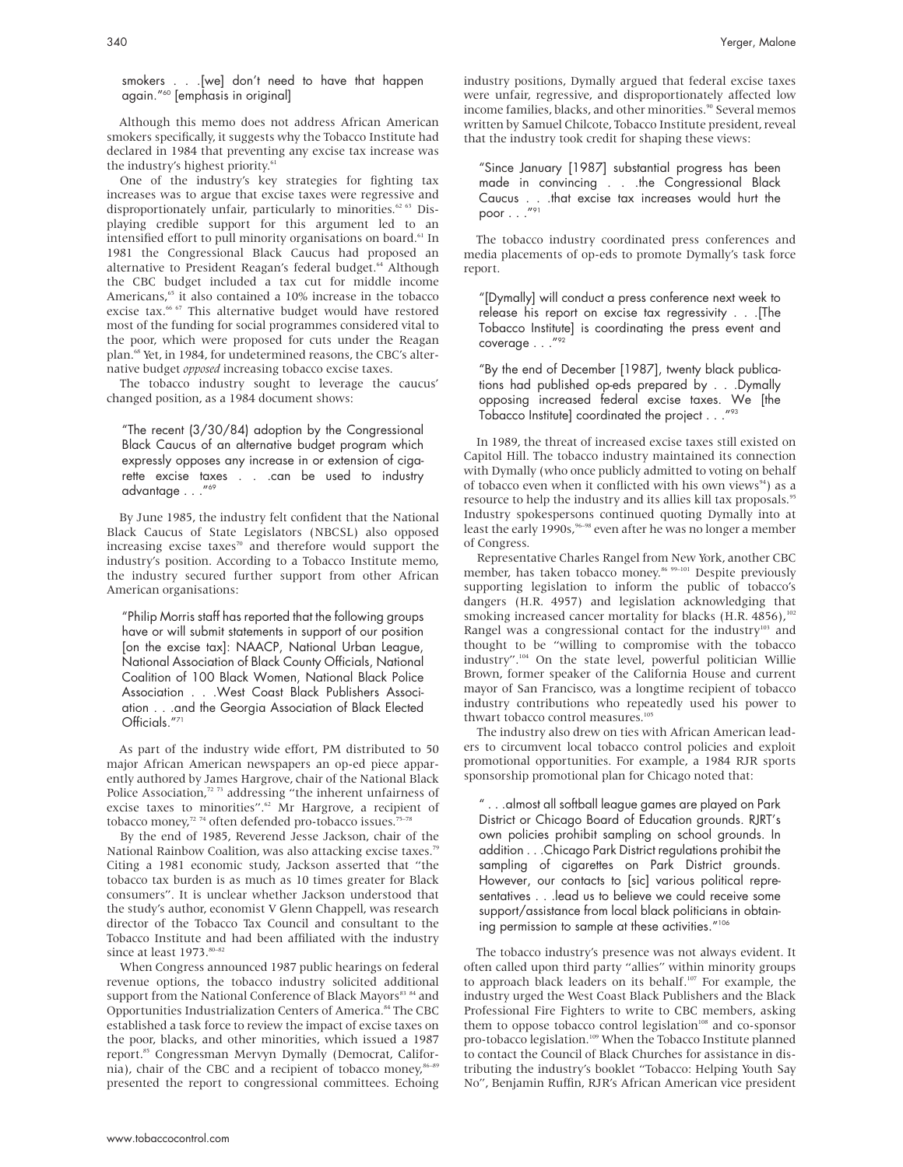smokers . . .[we] don't need to have that happen again."60 [emphasis in original]

Although this memo does not address African American smokers specifically, it suggests why the Tobacco Institute had declared in 1984 that preventing any excise tax increase was the industry's highest priority.<sup>61</sup>

One of the industry's key strategies for fighting tax increases was to argue that excise taxes were regressive and disproportionately unfair, particularly to minorities.<sup>62 63</sup> Displaying credible support for this argument led to an intensified effort to pull minority organisations on board.<sup>61</sup> In 1981 the Congressional Black Caucus had proposed an alternative to President Reagan's federal budget.<sup>64</sup> Although the CBC budget included a tax cut for middle income Americans,<sup>65</sup> it also contained a 10% increase in the tobacco excise tax.<sup>66 67</sup> This alternative budget would have restored most of the funding for social programmes considered vital to the poor, which were proposed for cuts under the Reagan plan.<sup>68</sup> Yet, in 1984, for undetermined reasons, the CBC's alternative budget *opposed* increasing tobacco excise taxes.

The tobacco industry sought to leverage the caucus' changed position, as a 1984 document shows:

"The recent (3/30/84) adoption by the Congressional Black Caucus of an alternative budget program which expressly opposes any increase in or extension of cigarette excise taxes . . .can be used to industry advantage . . ."69

By June 1985, the industry felt confident that the National Black Caucus of State Legislators (NBCSL) also opposed increasing excise taxes $\pi$ <sup>0</sup> and therefore would support the industry's position. According to a Tobacco Institute memo, the industry secured further support from other African American organisations:

"Philip Morris staff has reported that the following groups have or will submit statements in support of our position [on the excise tax]: NAACP, National Urban League, National Association of Black County Officials, National Coalition of 100 Black Women, National Black Police Association . . .West Coast Black Publishers Association . . .and the Georgia Association of Black Elected Officials."<sup>71</sup>

As part of the industry wide effort, PM distributed to 50 major African American newspapers an op-ed piece apparently authored by James Hargrove, chair of the National Black Police Association, $72$ <sup>73</sup> addressing "the inherent unfairness of excise taxes to minorities".<sup>62</sup> Mr Hargrove, a recipient of tobacco money,<sup>72</sup> 74 often defended pro-tobacco issues.<sup>75-78</sup>

By the end of 1985, Reverend Jesse Jackson, chair of the National Rainbow Coalition, was also attacking excise taxes.<sup>79</sup> Citing a 1981 economic study, Jackson asserted that "the tobacco tax burden is as much as 10 times greater for Black consumers". It is unclear whether Jackson understood that the study's author, economist V Glenn Chappell, was research director of the Tobacco Tax Council and consultant to the Tobacco Institute and had been affiliated with the industry since at least 1973.<sup>80-82</sup>

When Congress announced 1987 public hearings on federal revenue options, the tobacco industry solicited additional support from the National Conference of Black Mayors<sup>83 84</sup> and Opportunities Industrialization Centers of America.<sup>84</sup> The CBC established a task force to review the impact of excise taxes on the poor, blacks, and other minorities, which issued a 1987 report.<sup>85</sup> Congressman Mervyn Dymally (Democrat, California), chair of the CBC and a recipient of tobacco money,<sup>86-89</sup> presented the report to congressional committees. Echoing

industry positions, Dymally argued that federal excise taxes were unfair, regressive, and disproportionately affected low income families, blacks, and other minorities.<sup>90</sup> Several memos written by Samuel Chilcote, Tobacco Institute president, reveal that the industry took credit for shaping these views:

"Since January [1987] substantial progress has been made in convincing . . .the Congressional Black Caucus . . .that excise tax increases would hurt the poor  $\dots$ ."91

The tobacco industry coordinated press conferences and media placements of op-eds to promote Dymally's task force report.

"[Dymally] will conduct a press conference next week to release his report on excise tax regressivity . . .[The Tobacco Institute] is coordinating the press event and coverage . . . "92

"By the end of December [1987], twenty black publications had published op-eds prepared by . . .Dymally opposing increased federal excise taxes. We [the Tobacco Institute] coordinated the project . . ."93

In 1989, the threat of increased excise taxes still existed on Capitol Hill. The tobacco industry maintained its connection with Dymally (who once publicly admitted to voting on behalf of tobacco even when it conflicted with his own views $94$ ) as a resource to help the industry and its allies kill tax proposals.<sup>95</sup> Industry spokespersons continued quoting Dymally into at least the early 1990s,  $96-98$  even after he was no longer a member of Congress.

Representative Charles Rangel from New York, another CBC member, has taken tobacco money.<sup>86 99-101</sup> Despite previously supporting legislation to inform the public of tobacco's dangers (H.R. 4957) and legislation acknowledging that smoking increased cancer mortality for blacks (H.R. 4856), $102$ Rangel was a congressional contact for the industry $103$  and thought to be "willing to compromise with the tobacco industry".104 On the state level, powerful politician Willie Brown, former speaker of the California House and current mayor of San Francisco, was a longtime recipient of tobacco industry contributions who repeatedly used his power to thwart tobacco control measures.<sup>10</sup>

The industry also drew on ties with African American leaders to circumvent local tobacco control policies and exploit promotional opportunities. For example, a 1984 RJR sports sponsorship promotional plan for Chicago noted that:

" . . .almost all softball league games are played on Park District or Chicago Board of Education grounds. RJRT's own policies prohibit sampling on school grounds. In addition . . .Chicago Park District regulations prohibit the sampling of cigarettes on Park District grounds. However, our contacts to [sic] various political representatives . . .lead us to believe we could receive some support/assistance from local black politicians in obtaining permission to sample at these activities."106

The tobacco industry's presence was not always evident. It often called upon third party "allies" within minority groups to approach black leaders on its behalf.<sup>107</sup> For example, the industry urged the West Coast Black Publishers and the Black Professional Fire Fighters to write to CBC members, asking them to oppose tobacco control legislation<sup>108</sup> and co-sponsor pro-tobacco legislation.<sup>109</sup> When the Tobacco Institute planned to contact the Council of Black Churches for assistance in distributing the industry's booklet "Tobacco: Helping Youth Say No", Benjamin Ruffin, RJR's African American vice president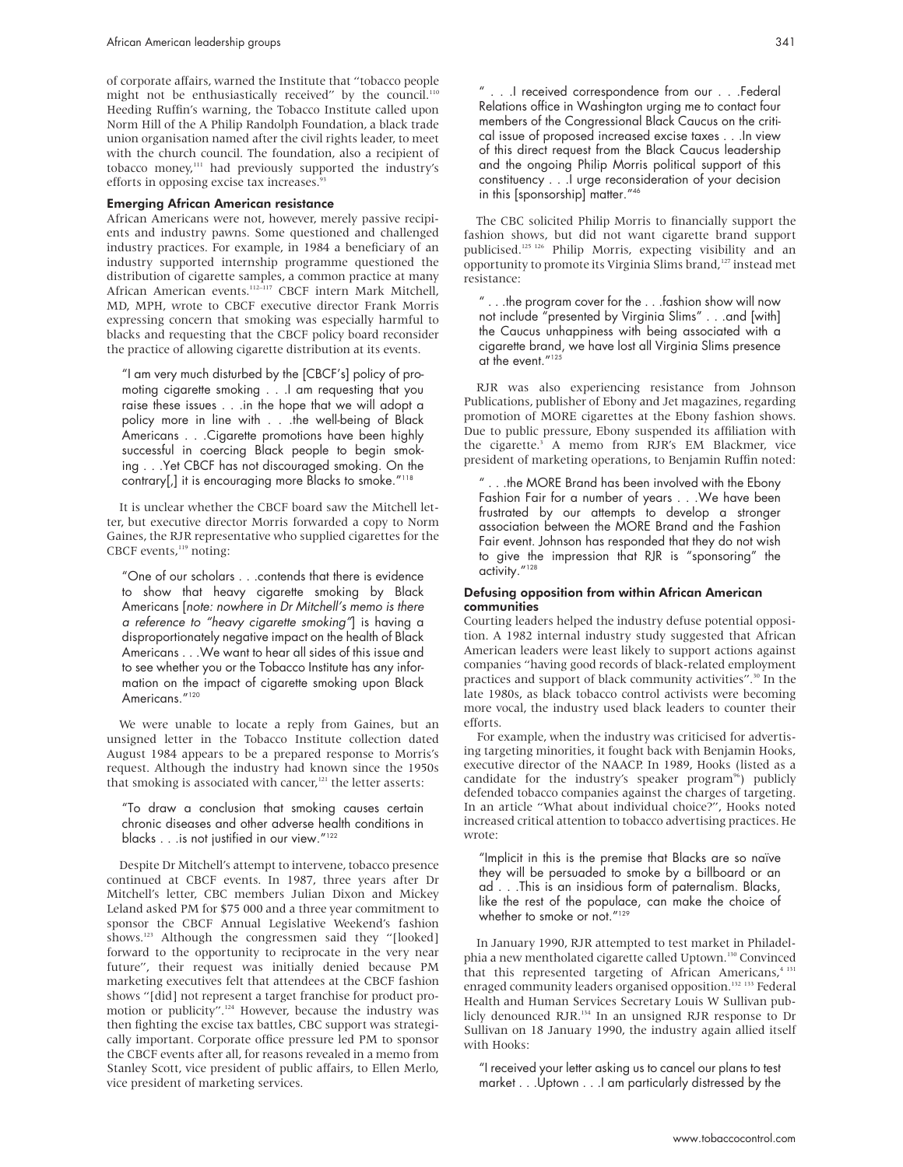of corporate affairs, warned the Institute that "tobacco people might not be enthusiastically received" by the council.<sup>110</sup> Heeding Ruffin's warning, the Tobacco Institute called upon Norm Hill of the A Philip Randolph Foundation, a black trade union organisation named after the civil rights leader, to meet with the church council. The foundation, also a recipient of tobacco money,111 had previously supported the industry's efforts in opposing excise tax increases.<sup>9</sup>

#### Emerging African American resistance

African Americans were not, however, merely passive recipients and industry pawns. Some questioned and challenged industry practices. For example, in 1984 a beneficiary of an industry supported internship programme questioned the distribution of cigarette samples, a common practice at many African American events.<sup>112-117</sup> CBCF intern Mark Mitchell, MD, MPH, wrote to CBCF executive director Frank Morris expressing concern that smoking was especially harmful to blacks and requesting that the CBCF policy board reconsider the practice of allowing cigarette distribution at its events.

"I am very much disturbed by the [CBCF's] policy of promoting cigarette smoking . . .I am requesting that you raise these issues . . .in the hope that we will adopt a policy more in line with . . .the well-being of Black Americans . . .Cigarette promotions have been highly successful in coercing Black people to begin smoking . . .Yet CBCF has not discouraged smoking. On the contrary[,] it is encouraging more Blacks to smoke."<sup>118</sup>

It is unclear whether the CBCF board saw the Mitchell letter, but executive director Morris forwarded a copy to Norm Gaines, the RJR representative who supplied cigarettes for the CBCF events,<sup>119</sup> noting:

"One of our scholars . . .contends that there is evidence to show that heavy cigarette smoking by Black Americans [note: nowhere in Dr Mitchell's memo is there <sup>a</sup> reference to "heavy cigarette smoking"] is having a disproportionately negative impact on the health of Black Americans . . .We want to hear all sides of this issue and to see whether you or the Tobacco Institute has any information on the impact of cigarette smoking upon Black Americans."<sup>120</sup>

We were unable to locate a reply from Gaines, but an unsigned letter in the Tobacco Institute collection dated August 1984 appears to be a prepared response to Morris's request. Although the industry had known since the 1950s that smoking is associated with cancer,<sup>121</sup> the letter asserts:

"To draw a conclusion that smoking causes certain chronic diseases and other adverse health conditions in blacks . . .is not justified in our view."122

Despite Dr Mitchell's attempt to intervene, tobacco presence continued at CBCF events. In 1987, three years after Dr Mitchell's letter, CBC members Julian Dixon and Mickey Leland asked PM for \$75 000 and a three year commitment to sponsor the CBCF Annual Legislative Weekend's fashion shows.<sup>123</sup> Although the congressmen said they "[looked] forward to the opportunity to reciprocate in the very near future", their request was initially denied because PM marketing executives felt that attendees at the CBCF fashion shows "[did] not represent a target franchise for product promotion or publicity".124 However, because the industry was then fighting the excise tax battles, CBC support was strategically important. Corporate office pressure led PM to sponsor the CBCF events after all, for reasons revealed in a memo from Stanley Scott, vice president of public affairs, to Ellen Merlo, vice president of marketing services.

. .I received correspondence from our . . .Federal Relations office in Washington urging me to contact four members of the Congressional Black Caucus on the critical issue of proposed increased excise taxes . . .In view of this direct request from the Black Caucus leadership and the ongoing Philip Morris political support of this constituency . . .I urge reconsideration of your decision in this [sponsorship] matter."<sup>4</sup>

The CBC solicited Philip Morris to financially support the fashion shows, but did not want cigarette brand support publicised.125 126 Philip Morris, expecting visibility and an opportunity to promote its Virginia Slims brand,127 instead met resistance:

 $"$ ...the program cover for the  $\dots$  fashion show will now not include "presented by Virginia Slims" . . .and [with] the Caucus unhappiness with being associated with a cigarette brand, we have lost all Virginia Slims presence at the event."125

RJR was also experiencing resistance from Johnson Publications, publisher of Ebony and Jet magazines, regarding promotion of MORE cigarettes at the Ebony fashion shows. Due to public pressure, Ebony suspended its affiliation with the cigarette.<sup>3</sup> A memo from RJR's EM Blackmer, vice president of marketing operations, to Benjamin Ruffin noted:

" . . .the MORE Brand has been involved with the Ebony Fashion Fair for a number of years . . .We have been frustrated by our attempts to develop a stronger association between the MORE Brand and the Fashion Fair event. Johnson has responded that they do not wish to give the impression that RJR is "sponsoring" the activity."<sup>128</sup>

#### Defusing opposition from within African American communities

Courting leaders helped the industry defuse potential opposition. A 1982 internal industry study suggested that African American leaders were least likely to support actions against companies "having good records of black-related employment practices and support of black community activities".30 In the late 1980s, as black tobacco control activists were becoming more vocal, the industry used black leaders to counter their efforts.

For example, when the industry was criticised for advertising targeting minorities, it fought back with Benjamin Hooks, executive director of the NAACP. In 1989, Hooks (listed as a candidate for the industry's speaker program<sup>96</sup>) publicly defended tobacco companies against the charges of targeting. In an article "What about individual choice?", Hooks noted increased critical attention to tobacco advertising practices. He wrote:

"Implicit in this is the premise that Blacks are so naïve they will be persuaded to smoke by a billboard or an ad . . .This is an insidious form of paternalism. Blacks, like the rest of the populace, can make the choice of whether to smoke or not."<sup>129</sup>

In January 1990, RJR attempted to test market in Philadelphia a new mentholated cigarette called Uptown.<sup>130</sup> Convinced that this represented targeting of African Americans,<sup>4 131</sup> enraged community leaders organised opposition.<sup>132</sup> <sup>132</sup> Federal Health and Human Services Secretary Louis W Sullivan publicly denounced RJR.134 In an unsigned RJR response to Dr Sullivan on 18 January 1990, the industry again allied itself with Hooks:

"I received your letter asking us to cancel our plans to test market . . .Uptown . . .I am particularly distressed by the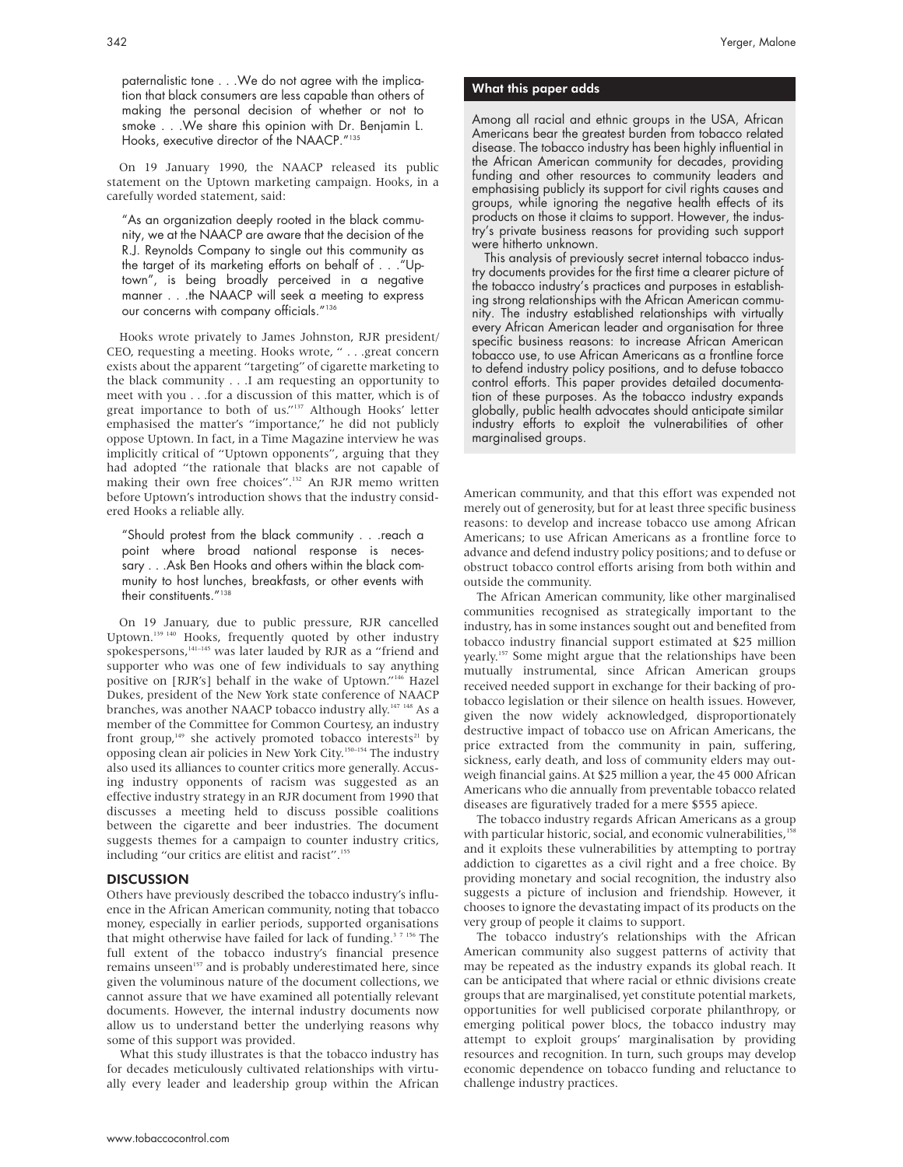paternalistic tone . . .We do not agree with the implication that black consumers are less capable than others of making the personal decision of whether or not to smoke . . .We share this opinion with Dr. Benjamin L. Hooks, executive director of the NAACP."135

On 19 January 1990, the NAACP released its public statement on the Uptown marketing campaign. Hooks, in a carefully worded statement, said:

"As an organization deeply rooted in the black community, we at the NAACP are aware that the decision of the R.J. Reynolds Company to single out this community as the target of its marketing efforts on behalf of . . ."Uptown", is being broadly perceived in a negative manner . . .the NAACP will seek a meeting to express our concerns with company officials."136

Hooks wrote privately to James Johnston, RJR president/ CEO, requesting a meeting. Hooks wrote, " . . .great concern exists about the apparent "targeting" of cigarette marketing to the black community . . .I am requesting an opportunity to meet with you . . .for a discussion of this matter, which is of great importance to both of us."137 Although Hooks' letter emphasised the matter's "importance," he did not publicly oppose Uptown. In fact, in a Time Magazine interview he was implicitly critical of "Uptown opponents", arguing that they had adopted "the rationale that blacks are not capable of making their own free choices".<sup>132</sup> An RJR memo written before Uptown's introduction shows that the industry considered Hooks a reliable ally.

"Should protest from the black community . . .reach a point where broad national response is necessary . . .Ask Ben Hooks and others within the black community to host lunches, breakfasts, or other events with their constituents."<sup>138</sup>

On 19 January, due to public pressure, RJR cancelled Uptown.139 140 Hooks, frequently quoted by other industry spokespersons,<sup>141–145</sup> was later lauded by RJR as a "friend and supporter who was one of few individuals to say anything positive on [RJR's] behalf in the wake of Uptown."146 Hazel Dukes, president of the New York state conference of NAACP branches, was another NAACP tobacco industry ally.<sup>147 148</sup> As a member of the Committee for Common Courtesy, an industry front group,<sup>149</sup> she actively promoted tobacco interests<sup>21</sup> by opposing clean air policies in New York City.150–154 The industry also used its alliances to counter critics more generally. Accusing industry opponents of racism was suggested as an effective industry strategy in an RJR document from 1990 that discusses a meeting held to discuss possible coalitions between the cigarette and beer industries. The document suggests themes for a campaign to counter industry critics, including "our critics are elitist and racist".<sup>155</sup>

#### **DISCUSSION**

Others have previously described the tobacco industry's influence in the African American community, noting that tobacco money, especially in earlier periods, supported organisations that might otherwise have failed for lack of funding.<sup>37 156</sup> The full extent of the tobacco industry's financial presence remains unseen<sup>157</sup> and is probably underestimated here, since given the voluminous nature of the document collections, we cannot assure that we have examined all potentially relevant documents. However, the internal industry documents now allow us to understand better the underlying reasons why some of this support was provided.

What this study illustrates is that the tobacco industry has for decades meticulously cultivated relationships with virtually every leader and leadership group within the African

#### What this paper adds

Among all racial and ethnic groups in the USA, African Americans bear the greatest burden from tobacco related disease. The tobacco industry has been highly influential in the African American community for decades, providing funding and other resources to community leaders and emphasising publicly its support for civil rights causes and groups, while ignoring the negative health effects of its products on those it claims to support. However, the industry's private business reasons for providing such support were hitherto unknown.

This analysis of previously secret internal tobacco industry documents provides for the first time a clearer picture of the tobacco industry's practices and purposes in establishing strong relationships with the African American community. The industry established relationships with virtually every African American leader and organisation for three specific business reasons: to increase African American tobacco use, to use African Americans as a frontline force to defend industry policy positions, and to defuse tobacco control efforts. This paper provides detailed documentation of these purposes. As the tobacco industry expands globally, public health advocates should anticipate similar industry efforts to exploit the vulnerabilities of other marginalised groups.

American community, and that this effort was expended not merely out of generosity, but for at least three specific business reasons: to develop and increase tobacco use among African Americans; to use African Americans as a frontline force to advance and defend industry policy positions; and to defuse or obstruct tobacco control efforts arising from both within and outside the community.

The African American community, like other marginalised communities recognised as strategically important to the industry, has in some instances sought out and benefited from tobacco industry financial support estimated at \$25 million yearly.<sup>157</sup> Some might argue that the relationships have been mutually instrumental, since African American groups received needed support in exchange for their backing of protobacco legislation or their silence on health issues. However, given the now widely acknowledged, disproportionately destructive impact of tobacco use on African Americans, the price extracted from the community in pain, suffering, sickness, early death, and loss of community elders may outweigh financial gains. At \$25 million a year, the 45 000 African Americans who die annually from preventable tobacco related diseases are figuratively traded for a mere \$555 apiece.

The tobacco industry regards African Americans as a group with particular historic, social, and economic vulnerabilities,<sup>15</sup> and it exploits these vulnerabilities by attempting to portray addiction to cigarettes as a civil right and a free choice. By providing monetary and social recognition, the industry also suggests a picture of inclusion and friendship. However, it chooses to ignore the devastating impact of its products on the very group of people it claims to support.

The tobacco industry's relationships with the African American community also suggest patterns of activity that may be repeated as the industry expands its global reach. It can be anticipated that where racial or ethnic divisions create groups that are marginalised, yet constitute potential markets, opportunities for well publicised corporate philanthropy, or emerging political power blocs, the tobacco industry may attempt to exploit groups' marginalisation by providing resources and recognition. In turn, such groups may develop economic dependence on tobacco funding and reluctance to challenge industry practices.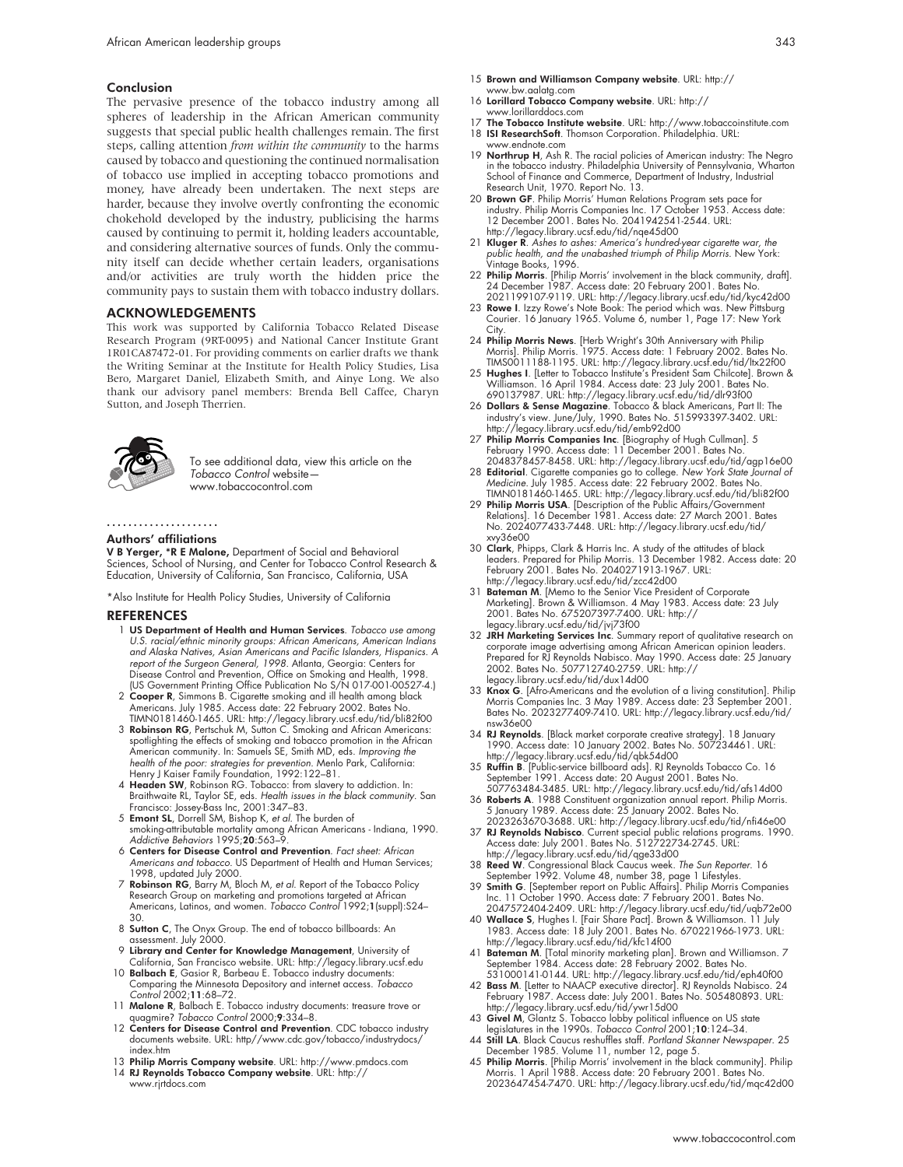#### Conclusion

The pervasive presence of the tobacco industry among all spheres of leadership in the African American community suggests that special public health challenges remain. The first steps, calling attention *from within the community* to the harms caused by tobacco and questioning the continued normalisation of tobacco use implied in accepting tobacco promotions and money, have already been undertaken. The next steps are harder, because they involve overtly confronting the economic chokehold developed by the industry, publicising the harms caused by continuing to permit it, holding leaders accountable, and considering alternative sources of funds. Only the community itself can decide whether certain leaders, organisations and/or activities are truly worth the hidden price the community pays to sustain them with tobacco industry dollars.

#### ACKNOWLEDGEMENTS

This work was supported by California Tobacco Related Disease Research Program (9RT-0095) and National Cancer Institute Grant 1R01CA87472-01. For providing comments on earlier drafts we thank the Writing Seminar at the Institute for Health Policy Studies, Lisa Bero, Margaret Daniel, Elizabeth Smith, and Ainye Long. We also thank our advisory panel members: Brenda Bell Caffee, Charyn Sutton, and Joseph Therrien.



To see additional data, view this article on the Tobacco Control website www.tobaccocontrol.com

## .....................

#### Authors' affiliations

V B Yerger, \*R E Malone, Department of Social and Behavioral Sciences, School of Nursing, and Center for Tobacco Control Research & Education, University of California, San Francisco, California, USA

\*Also Institute for Health Policy Studies, University of California

#### REFERENCES

- 1 US Department of Health and Human Services. Tobacco use among U.S. racial/ethnic minority groups: African Americans, American Indians and Alaska Natives, Asian Americans and Pacific Islanders, Hispanics. A report of the Surgeon General, 1998. Atlanta, Georgia: Centers for Disease Control and Prevention, Office on Smoking and Health, 1998. (US Government Printing Office Publication No S/N 017-001-00527-4.)
- 2 Cooper R, Simmons B. Cigarette smoking and ill health among black Americans. July 1985. Access date: 22 February 2002. Bates No. TIMN0181460-1465. URL: http://legacy.library.ucsf.edu/tid/bli82f00
- 3 Robinson RG, Pertschuk M, Sutton C. Smoking and African Americans: spotlighting the effects of smoking and tobacco promotion in the African American community. In: Samuels SE, Smith MD, eds. Improving the health of the poor: strategies for prevention. Menlo Park, California: Henry J Kaiser Family Foundation, 1992:122–81.
- 4 Headen SW, Robinson RG. Tobacco: from slavery to addiction. In: Braithwaite RL, Taylor SE, eds. Health issues in the black community. San Francisco: Jossey-Bass Inc, 2001:347–83.
- 5 Emont SL, Dorrell SM, Bishop K, et al. The burden of smoking-attributable mortality among African Americans - Indiana, 1990. Addictive Behaviors 1995;20:563–9.
- 6 Centers for Disease Control and Prevention. Fact sheet: African Americans and tobacco. US Department of Health and Human Services; 1998, updated July 2000.
- 7 Robinson RG, Barry M, Bloch M, et al. Report of the Tobacco Policy Research Group on marketing and promotions targeted at Atrican<br>Americans, Latinos, and women. *Tobacco Control* 1992;**1**(suppl):S24–
- 30.<br>8 **Sutton C**, The Onyx Group. The end of tobacco billboards: An assessment. July 2000.
- 9 Library and Center for Knowledge Management, University of California, San Francisco website. URL: http://legacy.library.ucsf.edu 10 Balbach E, Gasior R, Barbeau E. Tobacco industry documents:
- Comparing the Minnesota Depository and internet access. Tobacco Control 2002;11:68–72.
- 11 Malone R, Balbach E. Tobacco industry documents: treasure trove or quagmire? Tobacco Control 2000;9:334–8.
- 12 Centers for Disease Control and Prevention. CDC tobacco industry documents website. URL: http//www.cdc.gov/tobacco/industrydocs/ index.htm
- 13 Philip Morris Company website. URL: http://www.pmdocs.com 14 RJ Reynolds Tobacco Company website. URL: http:// www.rjrtdocs.com
- 15 Brown and Williamson Company website. URL: http:// www.bw.aalatg.com
- 16 Lorillard Tobacco Company website. URL: http:// www.lorillarddocs.com
- 17 The Tobacco Institute website. URL: http://www.tobaccoinstitute.com
- 18 ISI ResearchSoft. Thomson Corporation. Philadelphia. URL:
- www.endnote.com 19 Northrup H, Ash R. The racial policies of American industry: The Negro in the tobacco industry. Philadelphia University of Pennsylvania, Wharton School of Finance and Commerce, Department of Industry, Industrial Research Unit, 1970. Report No. 13.
- 20 Brown GF. Philip Morris' Human Relations Program sets pace for industry. Philip Morris Companies Inc. 17 October 1953. Access date: 12 December 2001. Bates No. 2041942541-2544. URL: http://legacy.library.ucsf.edu/tid/nqe45d00
- 21 Kluger R. Ashes to ashes: America's hundred-year cigarette war, the public health, and the unabashed triumph of Philip Morris. New York: Vintage Books, 1996.
- 22 **Philip Morris**. [Philip Morris' involvement in the black community, draft].<br>2021 December 1987. Access date: 20 February 2001. Bates No.<br>2021 199107-9119. URL: http://legacy.library.ucsf.edu/tid/kyc42d00<br>23 **Rowe I**. I
- Courier. 16 January 1965. Volume 6, number 1, Page 17: New York City.
- 24 Philip Morris News. [Herb Wright's 30th Anniversary with Philip Morris]. Philip Morris. 1975. Access date: 1 February 2002. Bates No.<br>TIMS0011188-1195. URL: http://legacy.library.ucsf.edu/tid/ltx22f00<br>25 **Hughes I**. [Letter to Tobacco Institute's President Sam Chilcote]. Brown &
- Williamson. 16 April 1984. Access date: 23 July 2001. Bates No. 690137987. URL: http://legacy.library.ucsf.edu/tid/dlr93f00
- 26 Dollars & Sense Magazine. Tobacco & black Americans, Part II: The industry's view. June/July, 1990. Bates No. 515993397-3402. URL: http://legacy.library.ucsf.edu/tid/emb92d00
- 27 Philip Morris Companies Inc. [Biography of Hugh Cullman]. 5
- February 1990. Access date: 11 December 2001. Bates No.<br>2048378457-8458. URL: http://legacy.library.ucsf.edu/tid/agp16e00<br>28 **Editorial**. Cigarette companies go to college. New York State Journal of<br>Medicine. July 1985. Ac TIMN0181460-1465. URL: http://legacy.library.ucsf.edu/tid/bli82f00
- 29 Philip Morris USA. [Description of the Public Affairs/Government Relations]. 16 December 1981. Access date: 27 March 2001. Bates No. 2024077433-7448. URL: http://legacy.library.ucsf.edu/tid/ xvy36e00
- 30 Clark, Phipps, Clark & Harris Inc. A study of the attitudes of black leaders. Prepared for Philip Morris. 13 December 1982. Access date: 20 February 2001. Bates No. 2040271913-1967. URL: http://legacy.library.ucsf.edu/tid/zcc42d00
- 31 Bateman M. [Memo to the Senior Vice President of Corporate Marketing]. Brown & Williamson. 4 May 1983. Access date: 23 July 2001. Bates No. 675207397-7400. URL: http:// legacy.library.ucsf.edu/tid/jvj73f00
- 32 JRH Marketing Services Inc. Summary report of qualitative research on corporate image advertising among African American opinion leaders. Prepared for RJ Reynolds Nabisco. May 1990. Access date: 25 January 2002. Bates No. 507712740-2759. URL: http:// legacy.library.ucsf.edu/tid/dux14d00
- 33 Knox G. [Afro-Americans and the evolution of a living constitution]. Philip Morris Companies Inc. 3 May 1989. Access date: 23 September 2001. Bates No. 2023277409-7410. URL: http://legacy.library.ucsf.edu/tid/ nsw36e00
- 34 **RJ Reynolds**. [Black market corporate creative strategy]. 18 January<br>1990. Access date: 10 January 2002. Bates No. 507234461. URL:<br>http://legacy.library.ucsf.edu/tid/qbk54d00<br>**Ruffin B**. [Public-service billboard ads].
- September 1991. Access date: 20 August 2001. Bates No. 507763484-3485. URL: http://legacy.library.ucsf.edu/tid/afs14d00
- 
- 36 **Roberts A**. 1988 Constituent organization annual report. Philip Morris.<br>5 January 1989. Access date: 25 January 2002. Bates No.<br>2023263670-3688. URL: http://legacy.library.ucsf.edu/rid/nfi46e00<br>**87 RJ Reynolds Nabisco** http://legacy.library.ucsf.edu/tid/qge33d00
- 38 Reed W. Congressional Black Caucus week. The Sun Reporter. 16 September 1992. Volume 48, number 38, page 1 Lifestyles.
- 39 Smith G. [September report on Public Affairs]. Philip Morris Companies Inc. 11 October 1990. Access date: 7 February 2001. Bates No. 2047572404-2409. URL: http://legacy.library.ucsf.edu/tid/uqb72e00
- 40 Wallace S, Hughes I. [Fair Share Pact]. Brown & Williamson. 11 July 1983. Access date: 18 July 2001. Bates No. 670221966-1973. URL: http://legacy.library.ucsf.edu/tid/kfc14f00
- 41 Bateman M. [Total minority marketing plan]. Brown and Williamson. 7 September 1984. Access date: 28 February 2002. Bates No.
- 531000141-0144. URL: http://legacy.library.ucsf.edu/tid/eph40f00<br>**42 Bass M**. [Lelter to NAACP executive director]. RJ Reynolds Nabisco. 24<br>February 1987. Access date: July 2001. Bates No. 505480893. URL:<br>http://legacy.lib
- 
- 43 Givel M, Glantz S. Tobacco lobby political influence on US state<br>legislatures in the 1990s. *Tobacco Control* 2001;10:124–34.<br>44 Still LA. Black Caucus reshuffles staff. *Portland Skanner Newspaper*. 25
- December 1985. Volume 11, number 12, page 5.<br>45 **Philip Morris**. [Philip Morris' involvement in the black community]. Philip Morris. 1 April 1988. Access date: 20 February 2001. Bates No. 2023647454-7470. URL: http://legacy.library.ucsf.edu/tid/mqc42d00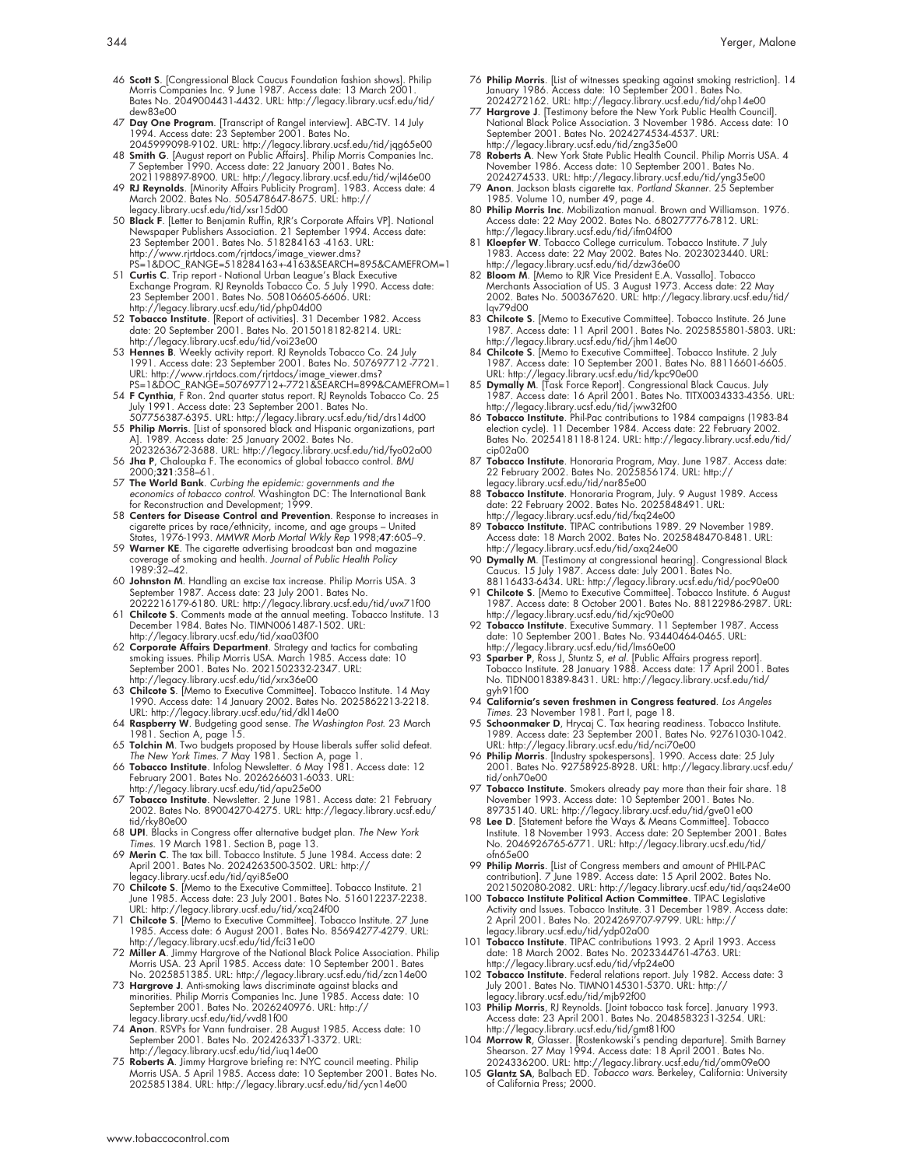- 46 Scott S. [Congressional Black Caucus Foundation fashion shows]. Philip Morris Companies Inc. 9 June 1987. Access date: 13 March 2001. Bates No. 2049004431-4432. URL: http://legacy.library.ucsf.edu/tid/ dew83e00
- 47 Day One Program. [Transcript of Rangel interview]. ABC-TV. 14 July 1994. Access date: 23 September 2001. Bates No. 2045999098-9102. URL: http://legacy.library.ucsf.edu/tid/jqg65e00
- 48 Smith G. [August report on Public Affairs]. Philip Morris Companies Inc.
- 7 September 1990. Access date: 22 January 2001. Bates No.<br>2021198897-8900. URL: http://legacy.library.ucsf.edu/tid/wi|46e00<br>4**9 RI Reynolds.** [Minority Affairs Publicity Program]. 1983. Access date: 4<br>March 2002. Bates No. legacy.library.ucsf.edu/tid/xsr15d00
- 50 Black F. [Letter to Benjamin Ruffin, RJR's Corporate Affairs VP]. National Newspaper Publishers Association. 21 September 1994. Access date: 23 September 2001. Bates No. 518284163 -4163. URL: http://www.rjrtdocs.com/rjrtdocs/image\_viewer.dms? PS=1&DOC\_RANGE=518284163+-4163&SEARCH=895&CAMEFROM=1
- 51 **Curtis C**. Trip report National Urban League's Black Executive<br>Exchange Program. RJ Reynolds Tobacco Co. 5 July 1990. Access date:<br>23 September 2001. Bates No. 508106605-6606. URL:<br>http://legacy.library.ucsf.edu/tid/
- date: 20 September 2001. Bates No. 2015018182-8214. URL: http://legacy.library.ucsf.edu/tid/voi23e00
- 53 Hennes B. Weekly activity report. RJ Reynolds Tobacco Co. 24 July 1991. Access date: 23 September 2001. Bates No. 507697712 -7721. URL: http://www.rjrtdocs.com/rjrtdocs/image\_viewer.dms? PS=1&DOC\_RANGE=507697712+-7721&SEARCH=899&CAMEFROM=1
- 
- 54 **F Cynthia**, F Ron. 2nd quarter status report. RJ Reynolds Tobacco Co. 25<br>July 1991. Access date: 23 September 2001. Bates No.<br>507756387-6395. URL: http://legacy.library.ucsf.edu/itd/drs14d00<br>55 **Philip Morris**. [List o
- 2023263672-3688. URL: http://legacy.library.ucsf.edu/tid/fyo02a00 56 Jha P, Chaloupka F. The economics of global tobacco control. BMJ
- 2000;321:358–61.
- 57 The World Bank. Curbing the epidemic: governments and the economics of tobacco control. Washington DC: The International Bank for Reconstruction and Development; 1999
- 58 Centers for Disease Control and Prevention. Response to increases in cigarette prices by race/ethnicity, income, and age groups – United<br>States, 1976-1993. MMWR Morb Mortal Wkly Rep 1998;**47**:605–9.<br>59 **Warner KE**. The cigarette advertising broadcast ban and magazine
- coverage of smoking and health. Journal of Public Health Policy 1989:32–42.
- 60 Johnston M. Handling an excise tax increase. Philip Morris USA. 3 September 1987. Access date: 23 July 2001. Bates No.
- 2022216179-6180. URL: http://legacy.library.ucsf.edu/tid/uvx71f00 61 Chilcote S. Comments made at the annual meeting. Tobacco Institute. 13 December 1984. Bates No. TIMN0061487-1502. URL: http://legacy.library.ucsf.edu/tid/xaa03f00
- 62 Corporate Affairs Department. Strategy and tactics for combating smoking issues. Philip Morris USA. March 1985. Access date: 10 September 2001. Bates No. 2021502332-2347. URL: http://legacy.library.ucsf.edu/tid/xrx36e00
- 63 Chilcote S. [Memo to Executive Committee]. Tobacco Institute. 14 May 1990. Access date: 14 January 2002. Bates No. 2025862213-2218. URL: http://legacy.library.ucsf.edu/tid/dkl14e00
- 64 Raspberry W. Budgeting good sense. The Washington Post. 23 March 1981. Section A, page 15.
- 65 Tolchin M. Two budgets proposed by House liberals suffer solid defeat.
- The New York Times. 7 May 1981. Section A, page 1.<br>66 **Tobacco Institute**. Infolog Newsletter. 6 May 1981. Access date: 12<br>February 2001. Bates No. 2026266031-6033. URL:
- http://legacy.library.ucst.edu/tid/apu25e00<br>67 **Tobacco Institute**. Newsletter. 2 June 1981. Access date: 21 February<br>2002. Bates No. 89004270-4275. URL: http://legacy.library.ucsf.edu/ tid/rky80e00
- 68 UPI. Blacks in Congress offer alternative budget plan. The New York Times. 19 March 1981. Section B, page 13.
- 69 Merin C. The tax bill. Tobacco Institute. 5 June 1984. Access date: 2 April 2001. Bates No. 2024263500-3502. URL: http:// legacy.library.ucsf.edu/tid/qyi85e00
- 70 Chilcote S. [Memo to the Executive Committee]. Tobacco Institute. 21 June 1985. Access date: 23 July 2001. Bates No. 516012237-2238. URL: http://legacy.library.ucsf.edu/tid/xcq24f00
- 71 Chilcote S. [Memo to Executive Committee]. Tobacco Institute. 27 June 1985. Access date: 6 August 2001. Bates No. 85694277-4279. URL: http://legacy.library.ucsf.edu/tid/fci31e00
- 72 Miller A. Jimmy Hargrove of the National Black Police Association. Philip Morris USA. 23 April 1985. Access date: 10 September 2001. Bates No. 2025851385. URL: http://legacy.library.ucsf.edu/tid/zcn14e00
- 73 Hargrove J. Anti-smoking laws discriminate against blacks and minorities. Philip Morris Companies Inc. June 1985. Access date: 10 September 2001. Bates No. 2026240976. URL: http:// legacy.library.ucsf.edu/tid/vvd81f00
- 74 Anon. RSVPs for Vann fundraiser. 28 August 1985. Access date: 10 September 2001. Bates No. 2024263371-3372. URL:
- http://legacy.library.ucsf.edu/tid/iuq14e00<br>75 **Roberts A**. Jimmy Hargrove briefing re: NYC council meeting. Philip<br>Morris USA. 5 April 1985. Access date: 10 September 2001. Bates No. 2025851384. URL: http://legacy.library.ucsf.edu/tid/ycn14e00
- 76 Philip Morris. [List of witnesses speaking against smoking restriction]. 14 January 1986. Access date: 10 September 2001. Bates No. 2024272162. URL: http://legacy.library.ucsf.edu/tid/ohp14e00
- 77 Hargrove J. [Testimony before the New York Public Health Council]. National Black Police Association. 3 November 1986. Access date: 10 September 2001. Bates No. 2024274534-4537. URL: http://legacy.library.ucsf.edu/tid/zng35e00
- 78 Roberts A. New York State Public Health Council. Philip Morris USA. 4 November 1986. Access date: 10 September 2001. Bates No.
- 2024274533. URL: http://legacy.library.ucsf.edu/tid/yng35e00 79 Anon. Jackson blasts cigarette tax. Portland Skanner. 25 September 1985. Volume 10, number 49, page 4.
- 80 Philip Morris Inc. Mobilization manual. Brown and Williamson. 1976. Access date: 22 May 2002. Bates No. 680277776-7812. URL: http://legacy.library.ucsf.edu/tid/ifm04f00
- 81 Kloepfer W. Tobacco College curriculum. Tobacco Institute. 7 July 1983. Access date: 22 May 2002. Bates No. 2023023440. URL: http://legacy.library.ucsf.edu/tid/dzw36e00
- 82 **Bloom M**. [Memo to RJR Vice President E.A. Vassallo]. Tobacco<br>Merchants Association of US. 3 August 1973. Access date: 22 May<br>2002. Bates No. 500367620. URL: http://legacy.library.ucsf.edu/tid/ lqv79d00
- 83 Chilcote S. [Memo to Executive Committee]. Tobacco Institute. 26 June 1987. Access date: 11 April 2001. Bates No. 2025855801-5803. URL: http://legacy.library.ucsf.edu/tid/jhm14e00
- 84 Chilcote S. [Memo to Executive Committee]. Tobacco Institute. 2 July<br>1987. Access date: 10 September 2001. Bates No. 88116601-6605.<br>URL: http://legacy.library.ucsf.edu/tid/kpc90e00<br>85 **Dymally M**. [Task Force Report]. C
- 1987. Access date: 16 April 2001. Bates No. TITX0034333-4356. URL:
- http://legacy.library.ucsf.edu/tid/jww32f00<br>86 Tobacco Institute. Phil-Pac contributions to 1984 campaigns (1983-84<br>election cycle). 11 December 1984. Access date: 22 February 2002.<br>Bates No. 2025418118-8124. URL: http://l cip02a00
- 87 **Tobacco Institute**. Honoraria Program, May. June 1987. Access date:<br>22 February 2002. Bates No. 2025856174. URL: http://<br>legacy.library.ucsf.edu/tid/nar85e00
- 88 Tobacco Institute. Honoraria Program, July. 9 August 1989. Access date: 22 February 2002. Bates No. 2025848491. URL:
- http://legacy.library.ucsf.edu/tid/txq24e00<br>.89 **Tobacco Institute**. TIPAC contributions 1989. 29 November 1989<br>.Access date: 18 March 2002. Bates No. 2025848470-8481. URL: http://legacy.library.ucsf.edu/tid/axq24e00
- 90 Dymally M. [Testimony at congressional hearing]. Congressional Black Caucus. 15 July 1987. Access date: July 2001. Bates No.
- 88116433-6434. URL: http://legacy.library.ucsf.edu/tid/poc90e00<br>91 **Chilcote S**. [Memo to Executive Committee]. Tobacco Institute. 6 August<br>1987. Access date: 8 October 2001. Bates No. 88122986-2987. URL: http://legacy.library.ucsf.edu/tid/xjc90e00
- 92 Tobacco Institute. Executive Summary. 11 September 1987. Access date: 10 September 2001. Bates No. 93440464-0465. URL:
- http://legacy.library.ucsf.edu/tid/lms60e00<br>93 **Sparber P**, Ross J, Stuntz S, *et al.* [Public Affairs progress report].<br>Tobacco Institute. 28 January 1988. Access date: 17 April 2001. Bates No. TIDN0018389-8431. URL: http://legacy.library.ucsf.edu/tid/ gyh91f00
- 
- 94 California's seven freshmen in Congress featured. Los Angeles<br>Times. 23 November 1981. Part I, page 18.<br>95 Schoomanker D, Hyrcqi C. Tax hearing readiness. Tobacco Institute.<br>1989. Access date: 23 September 2001. Bates N
- URL: http://legacy.library.ucsf.edu/tid/nci70e00<br>96 **Philip Morris**. [Industry spokespersons]. 1990. Access date: 25 July<br>2001. Bates No. 92758925-8928. URL: http://legacy.library.ucsf.edu/ tid/onh70e00
- 97 Tobacco Institute. Smokers already pay more than their fair share. 18 November 1993. Access date: 10 September 2001. Bates No.
- 89735140. URL: http://legacy.library.ucsf.edu/tid/gve01e00 98 Lee D. [Statement before the Ways & Means Committee]. Tobacco Institute. 18 November 1993. Access date: 20 September 2001. Bates No. 2046926765-6771. URL: http://legacy.library.ucsf.edu/tid/ ofn65e00
- 99 Philip Morris. [List of Congress members and amount of PHIL-PAC contribution]. 7 June 1989. Access date: 15 April 2002. Bates No. 2021502080-2082. URL: http://legacy.library.ucsf.edu/tid/aqs24e00
- 100 Tobacco Institute Political Action Committee. TIPAC Legislative Activity and Issues. Tobacco Institute. 31 December 1989. Access date: 2 April 2001. Bates No. 2024269707-9799. URL: http:// legacy.library.ucsf.edu/tid/ydp02a00
- 101 Tobacco Institute. TIPAC contributions 1993. 2 April 1993. Access date: 18 March 2002. Bates No. 2023344761-4763. URL: http://legacy.library.ucsf.edu/tid/vfp24e00
- 102 Tobacco Institute. Federal relations report. July 1982. Access date: 3 July 2001. Bates No. TIMN0145301-5370. URL: http:// legacy.library.ucsf.edu/tid/mjb92f00
- 103 Philip Morris, RJ Reynolds. [Joint tobacco task force]. January 1993. Access date: 23 April 2001. Bates No. 2048583231-3254. URL: http://legacy.library.ucsf.edu/tid/gmt81f00
- 104 Morrow R, Glasser. [Rostenkowski's pending departure]. Smith Barney<br>Shearson. 27 May 1994. Access date: 18 April 2001. Bates No.<br>2024336200. URL: http://legacy.library.ucsf.edu/tid/omm09e00<br>105 **Glantz SA**, Balbach ED.
- of California Press; 2000.